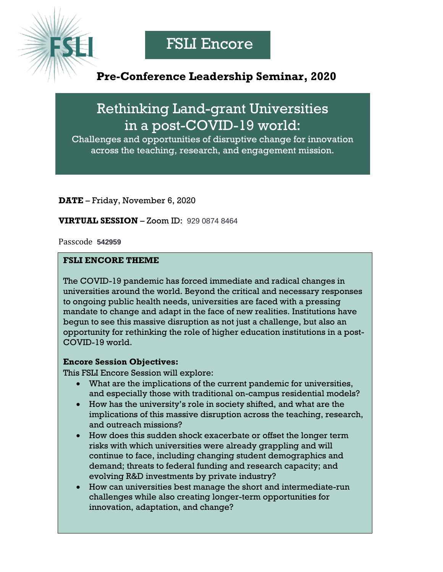## **Pre-Conference Leadership Seminar, 2020**

Rethinking Land-grant Universities in a post-COVID-19 world:

Challenges and opportunities of disruptive change for innovation across the teaching, research, and engagement mission.

**DATE** – Friday, November 6, 2020

**VIRTUAL SESSION** – Zoom ID: 929 0874 8464

Passcode **542959**

## **FSLI ENCORE THEME**

The COVID-19 pandemic has forced immediate and radical changes in universities around the world. Beyond the critical and necessary responses to ongoing public health needs, universities are faced with a pressing mandate to change and adapt in the face of new realities. Institutions have begun to see this massive disruption as not just a challenge, but also an opportunity for rethinking the role of higher education institutions in a post-COVID-19 world.

## **Encore Session Objectives:**

This FSLI Encore Session will explore:

- What are the implications of the current pandemic for universities, and especially those with traditional on-campus residential models?
- How has the university's role in society shifted, and what are the implications of this massive disruption across the teaching, research, and outreach missions?
- How does this sudden shock exacerbate or offset the longer term risks with which universities were already grappling and will continue to face, including changing student demographics and demand; threats to federal funding and research capacity; and evolving R&D investments by private industry?
- How can universities best manage the short and intermediate-run challenges while also creating longer-term opportunities for innovation, adaptation, and change?